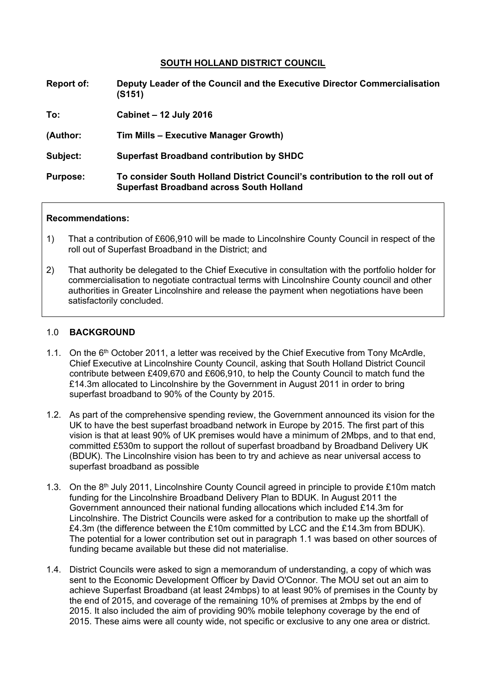### **SOUTH HOLLAND DISTRICT COUNCIL**

**Report of: Deputy Leader of the Council and the Executive Director Commercialisation (S151)**

**To: Cabinet – 12 July 2016**

**(Author: Tim Mills – Executive Manager Growth)**

**Subject: Superfast Broadband contribution by SHDC**

**Purpose: To consider South Holland District Council's contribution to the roll out of Superfast Broadband across South Holland**

#### **Recommendations:**

- 1) That a contribution of £606,910 will be made to Lincolnshire County Council in respect of the roll out of Superfast Broadband in the District; and
- 2) That authority be delegated to the Chief Executive in consultation with the portfolio holder for commercialisation to negotiate contractual terms with Lincolnshire County council and other authorities in Greater Lincolnshire and release the payment when negotiations have been satisfactorily concluded.

#### 1.0 **BACKGROUND**

- 1.1. On the 6<sup>th</sup> October 2011, a letter was received by the Chief Executive from Tony McArdle, Chief Executive at Lincolnshire County Council, asking that South Holland District Council contribute between £409,670 and £606,910, to help the County Council to match fund the £14.3m allocated to Lincolnshire by the Government in August 2011 in order to bring superfast broadband to 90% of the County by 2015.
- 1.2. As part of the comprehensive spending review, the Government announced its vision for the UK to have the best superfast broadband network in Europe by 2015. The first part of this vision is that at least 90% of UK premises would have a minimum of 2Mbps, and to that end, committed £530m to support the rollout of superfast broadband by Broadband Delivery UK (BDUK). The Lincolnshire vision has been to try and achieve as near universal access to superfast broadband as possible
- 1.3. On the 8<sup>th</sup> July 2011, Lincolnshire County Council agreed in principle to provide £10m match funding for the Lincolnshire Broadband Delivery Plan to BDUK. In August 2011 the Government announced their national funding allocations which included £14.3m for Lincolnshire. The District Councils were asked for a contribution to make up the shortfall of £4.3m (the difference between the £10m committed by LCC and the £14.3m from BDUK). The potential for a lower contribution set out in paragraph 1.1 was based on other sources of funding became available but these did not materialise.
- 1.4. District Councils were asked to sign a memorandum of understanding, a copy of which was sent to the Economic Development Officer by David O'Connor. The MOU set out an aim to achieve Superfast Broadband (at least 24mbps) to at least 90% of premises in the County by the end of 2015, and coverage of the remaining 10% of premises at 2mbps by the end of 2015. It also included the aim of providing 90% mobile telephony coverage by the end of 2015. These aims were all county wide, not specific or exclusive to any one area or district.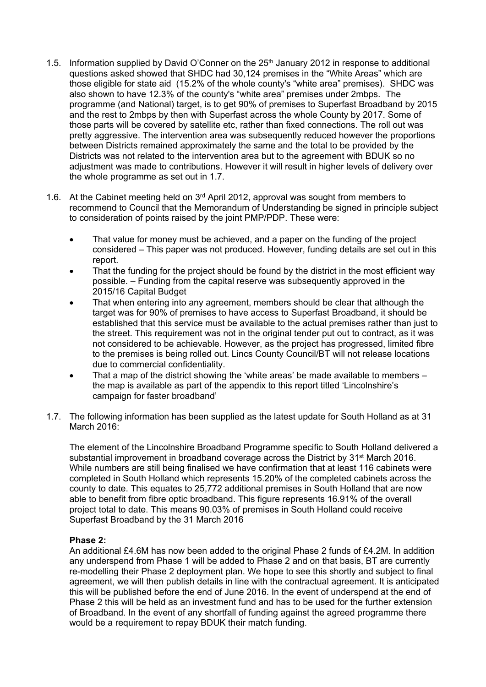- 1.5. Information supplied by David O'Conner on the  $25<sup>th</sup>$  January 2012 in response to additional questions asked showed that SHDC had 30,124 premises in the "White Areas" which are those eligible for state aid (15.2% of the whole county's "white area" premises). SHDC was also shown to have 12.3% of the county's "white area" premises under 2mbps. The programme (and National) target, is to get 90% of premises to Superfast Broadband by 2015 and the rest to 2mbps by then with Superfast across the whole County by 2017. Some of those parts will be covered by satellite etc, rather than fixed connections. The roll out was pretty aggressive. The intervention area was subsequently reduced however the proportions between Districts remained approximately the same and the total to be provided by the Districts was not related to the intervention area but to the agreement with BDUK so no adjustment was made to contributions. However it will result in higher levels of delivery over the whole programme as set out in 1.7.
- 1.6. At the Cabinet meeting held on 3<sup>rd</sup> April 2012, approval was sought from members to recommend to Council that the Memorandum of Understanding be signed in principle subject to consideration of points raised by the joint PMP/PDP. These were:
	- That value for money must be achieved, and a paper on the funding of the project considered – This paper was not produced. However, funding details are set out in this report.
	- That the funding for the project should be found by the district in the most efficient way possible. – Funding from the capital reserve was subsequently approved in the 2015/16 Capital Budget
	- That when entering into any agreement, members should be clear that although the target was for 90% of premises to have access to Superfast Broadband, it should be established that this service must be available to the actual premises rather than just to the street. This requirement was not in the original tender put out to contract, as it was not considered to be achievable. However, as the project has progressed, limited fibre to the premises is being rolled out. Lincs County Council/BT will not release locations due to commercial confidentiality.
	- That a map of the district showing the 'white areas' be made available to members the map is available as part of the appendix to this report titled 'Lincolnshire's campaign for faster broadband'
- 1.7. The following information has been supplied as the latest update for South Holland as at 31 March 2016<sup>-</sup>

The element of the Lincolnshire Broadband Programme specific to South Holland delivered a substantial improvement in broadband coverage across the District by 31<sup>st</sup> March 2016. While numbers are still being finalised we have confirmation that at least 116 cabinets were completed in South Holland which represents 15.20% of the completed cabinets across the county to date. This equates to 25,772 additional premises in South Holland that are now able to benefit from fibre optic broadband. This figure represents 16.91% of the overall project total to date. This means 90.03% of premises in South Holland could receive Superfast Broadband by the 31 March 2016

### **Phase 2:**

An additional £4.6M has now been added to the original Phase 2 funds of £4.2M. In addition any underspend from Phase 1 will be added to Phase 2 and on that basis, BT are currently re-modelling their Phase 2 deployment plan. We hope to see this shortly and subject to final agreement, we will then publish details in line with the contractual agreement. It is anticipated this will be published before the end of June 2016. In the event of underspend at the end of Phase 2 this will be held as an investment fund and has to be used for the further extension of Broadband. In the event of any shortfall of funding against the agreed programme there would be a requirement to repay BDUK their match funding.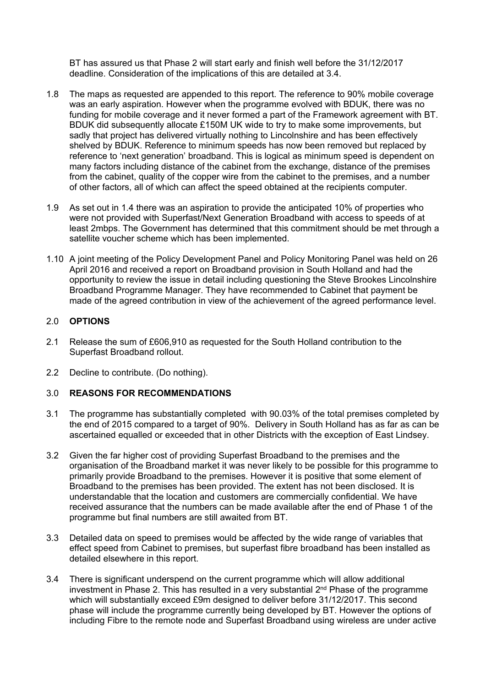BT has assured us that Phase 2 will start early and finish well before the 31/12/2017 deadline. Consideration of the implications of this are detailed at 3.4.

- 1.8 The maps as requested are appended to this report. The reference to 90% mobile coverage was an early aspiration. However when the programme evolved with BDUK, there was no funding for mobile coverage and it never formed a part of the Framework agreement with BT. BDUK did subsequently allocate £150M UK wide to try to make some improvements, but sadly that project has delivered virtually nothing to Lincolnshire and has been effectively shelved by BDUK. Reference to minimum speeds has now been removed but replaced by reference to 'next generation' broadband. This is logical as minimum speed is dependent on many factors including distance of the cabinet from the exchange, distance of the premises from the cabinet, quality of the copper wire from the cabinet to the premises, and a number of other factors, all of which can affect the speed obtained at the recipients computer.
- 1.9 As set out in 1.4 there was an aspiration to provide the anticipated 10% of properties who were not provided with Superfast/Next Generation Broadband with access to speeds of at least 2mbps. The Government has determined that this commitment should be met through a satellite voucher scheme which has been implemented.
- 1.10 A joint meeting of the Policy Development Panel and Policy Monitoring Panel was held on 26 April 2016 and received a report on Broadband provision in South Holland and had the opportunity to review the issue in detail including questioning the Steve Brookes Lincolnshire Broadband Programme Manager. They have recommended to Cabinet that payment be made of the agreed contribution in view of the achievement of the agreed performance level.

### 2.0 **OPTIONS**

- 2.1 Release the sum of £606,910 as requested for the South Holland contribution to the Superfast Broadband rollout.
- 2.2 Decline to contribute. (Do nothing).

### 3.0 **REASONS FOR RECOMMENDATIONS**

- 3.1 The programme has substantially completed with 90.03% of the total premises completed by the end of 2015 compared to a target of 90%. Delivery in South Holland has as far as can be ascertained equalled or exceeded that in other Districts with the exception of East Lindsey.
- 3.2 Given the far higher cost of providing Superfast Broadband to the premises and the organisation of the Broadband market it was never likely to be possible for this programme to primarily provide Broadband to the premises. However it is positive that some element of Broadband to the premises has been provided. The extent has not been disclosed. It is understandable that the location and customers are commercially confidential. We have received assurance that the numbers can be made available after the end of Phase 1 of the programme but final numbers are still awaited from BT.
- 3.3 Detailed data on speed to premises would be affected by the wide range of variables that effect speed from Cabinet to premises, but superfast fibre broadband has been installed as detailed elsewhere in this report.
- 3.4 There is significant underspend on the current programme which will allow additional investment in Phase 2. This has resulted in a very substantial 2<sup>nd</sup> Phase of the programme which will substantially exceed £9m designed to deliver before 31/12/2017. This second phase will include the programme currently being developed by BT. However the options of including Fibre to the remote node and Superfast Broadband using wireless are under active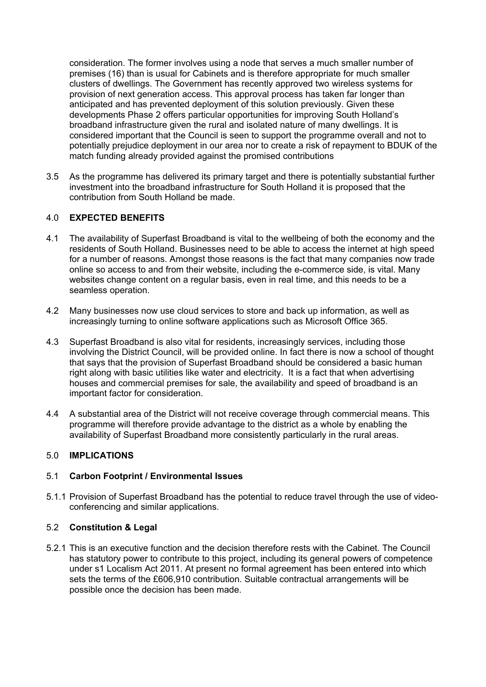consideration. The former involves using a node that serves a much smaller number of premises (16) than is usual for Cabinets and is therefore appropriate for much smaller clusters of dwellings. The Government has recently approved two wireless systems for provision of next generation access. This approval process has taken far longer than anticipated and has prevented deployment of this solution previously. Given these developments Phase 2 offers particular opportunities for improving South Holland's broadband infrastructure given the rural and isolated nature of many dwellings. It is considered important that the Council is seen to support the programme overall and not to potentially prejudice deployment in our area nor to create a risk of repayment to BDUK of the match funding already provided against the promised contributions

3.5 As the programme has delivered its primary target and there is potentially substantial further investment into the broadband infrastructure for South Holland it is proposed that the contribution from South Holland be made.

# 4.0 **EXPECTED BENEFITS**

- 4.1 The availability of Superfast Broadband is vital to the wellbeing of both the economy and the residents of South Holland. Businesses need to be able to access the internet at high speed for a number of reasons. Amongst those reasons is the fact that many companies now trade online so access to and from their website, including the e-commerce side, is vital. Many websites change content on a regular basis, even in real time, and this needs to be a seamless operation.
- 4.2 Many businesses now use cloud services to store and back up information, as well as increasingly turning to online software applications such as Microsoft Office 365.
- 4.3 Superfast Broadband is also vital for residents, increasingly services, including those involving the District Council, will be provided online. In fact there is now a school of thought that says that the provision of Superfast Broadband should be considered a basic human right along with basic utilities like water and electricity. It is a fact that when advertising houses and commercial premises for sale, the availability and speed of broadband is an important factor for consideration.
- 4.4 A substantial area of the District will not receive coverage through commercial means. This programme will therefore provide advantage to the district as a whole by enabling the availability of Superfast Broadband more consistently particularly in the rural areas.

### 5.0 **IMPLICATIONS**

### 5.1 **Carbon Footprint / Environmental Issues**

5.1.1 Provision of Superfast Broadband has the potential to reduce travel through the use of videoconferencing and similar applications.

### 5.2 **Constitution & Legal**

5.2.1 This is an executive function and the decision therefore rests with the Cabinet. The Council has statutory power to contribute to this project, including its general powers of competence under s1 Localism Act 2011. At present no formal agreement has been entered into which sets the terms of the £606,910 contribution. Suitable contractual arrangements will be possible once the decision has been made.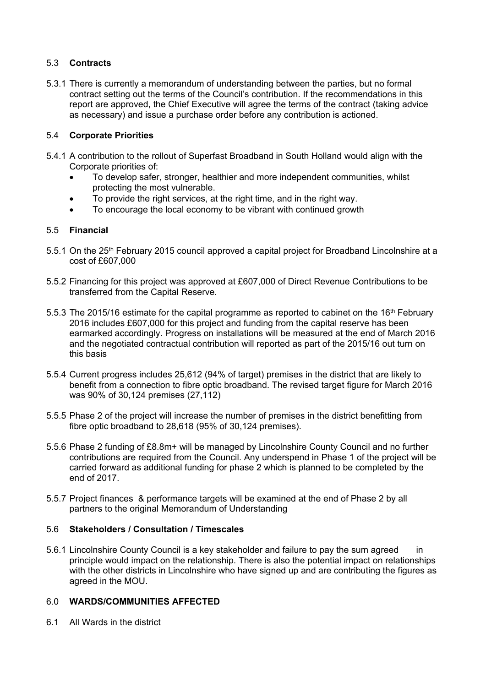# 5.3 **Contracts**

5.3.1 There is currently a memorandum of understanding between the parties, but no formal contract setting out the terms of the Council's contribution. If the recommendations in this report are approved, the Chief Executive will agree the terms of the contract (taking advice as necessary) and issue a purchase order before any contribution is actioned.

# 5.4 **Corporate Priorities**

- 5.4.1 A contribution to the rollout of Superfast Broadband in South Holland would align with the Corporate priorities of:
	- To develop safer, stronger, healthier and more independent communities, whilst protecting the most vulnerable.
	- To provide the right services, at the right time, and in the right way.
	- To encourage the local economy to be vibrant with continued growth

# 5.5 **Financial**

- 5.5.1 On the 25<sup>th</sup> February 2015 council approved a capital project for Broadband Lincolnshire at a cost of £607,000
- 5.5.2 Financing for this project was approved at £607,000 of Direct Revenue Contributions to be transferred from the Capital Reserve.
- 5.5.3 The 2015/16 estimate for the capital programme as reported to cabinet on the 16<sup>th</sup> February 2016 includes £607,000 for this project and funding from the capital reserve has been earmarked accordingly. Progress on installations will be measured at the end of March 2016 and the negotiated contractual contribution will reported as part of the 2015/16 out turn on this basis
- 5.5.4 Current progress includes 25,612 (94% of target) premises in the district that are likely to benefit from a connection to fibre optic broadband. The revised target figure for March 2016 was 90% of 30,124 premises (27,112)
- 5.5.5 Phase 2 of the project will increase the number of premises in the district benefitting from fibre optic broadband to 28,618 (95% of 30,124 premises).
- 5.5.6 Phase 2 funding of £8.8m+ will be managed by Lincolnshire County Council and no further contributions are required from the Council. Any underspend in Phase 1 of the project will be carried forward as additional funding for phase 2 which is planned to be completed by the end of 2017.
- 5.5.7 Project finances & performance targets will be examined at the end of Phase 2 by all partners to the original Memorandum of Understanding

### 5.6 **Stakeholders / Consultation / Timescales**

5.6.1 Lincolnshire County Council is a key stakeholder and failure to pay the sum agreed in principle would impact on the relationship. There is also the potential impact on relationships with the other districts in Lincolnshire who have signed up and are contributing the figures as agreed in the MOU.

### 6.0 **WARDS/COMMUNITIES AFFECTED**

6.1 All Wards in the district